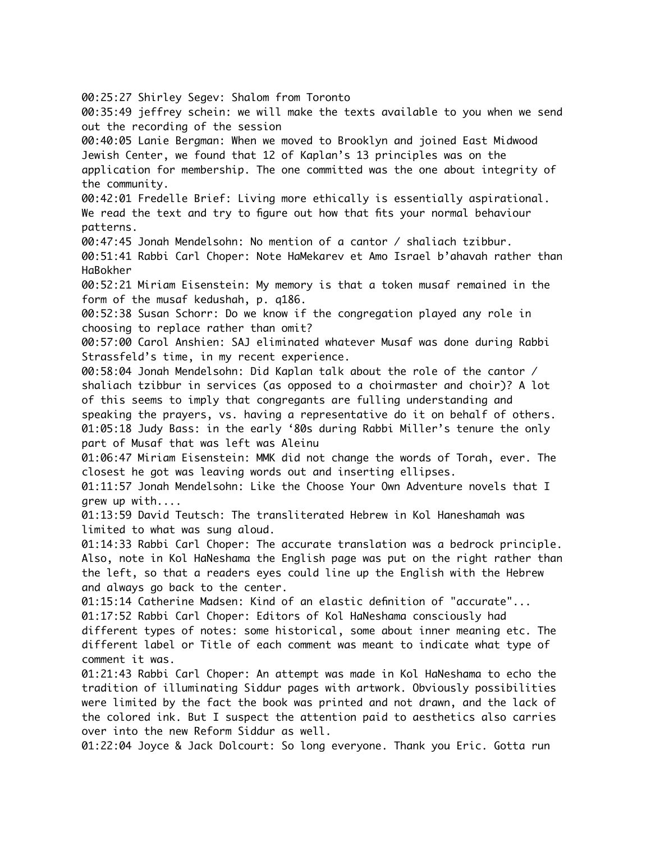00:25:27 Shirley Segev: Shalom from Toronto 00:35:49 jeffrey schein: we will make the texts available to you when we send out the recording of the session 00:40:05 Lanie Bergman: When we moved to Brooklyn and joined East Midwood Jewish Center, we found that 12 of Kaplan's 13 principles was on the application for membership. The one committed was the one about integrity of the community. 00:42:01 Fredelle Brief: Living more ethically is essentially aspirational. We read the text and try to figure out how that fits your normal behaviour patterns. 00:47:45 Jonah Mendelsohn: No mention of a cantor / shaliach tzibbur. 00:51:41 Rabbi Carl Choper: Note HaMekarev et Amo Israel b'ahavah rather than HaBokher 00:52:21 Miriam Eisenstein: My memory is that a token musaf remained in the form of the musaf kedushah, p. q186. 00:52:38 Susan Schorr: Do we know if the congregation played any role in choosing to replace rather than omit? 00:57:00 Carol Anshien: SAJ eliminated whatever Musaf was done during Rabbi Strassfeld's time, in my recent experience. 00:58:04 Jonah Mendelsohn: Did Kaplan talk about the role of the cantor / shaliach tzibbur in services (as opposed to a choirmaster and choir)? A lot of this seems to imply that congregants are fulling understanding and speaking the prayers, vs. having a representative do it on behalf of others. 01:05:18 Judy Bass: in the early '80s during Rabbi Miller's tenure the only part of Musaf that was left was Aleinu 01:06:47 Miriam Eisenstein: MMK did not change the words of Torah, ever. The closest he got was leaving words out and inserting ellipses. 01:11:57 Jonah Mendelsohn: Like the Choose Your Own Adventure novels that I grew up with.... 01:13:59 David Teutsch: The transliterated Hebrew in Kol Haneshamah was limited to what was sung aloud. 01:14:33 Rabbi Carl Choper: The accurate translation was a bedrock principle. Also, note in Kol HaNeshama the English page was put on the right rather than the left, so that a readers eyes could line up the English with the Hebrew and always go back to the center. 01:15:14 Catherine Madsen: Kind of an elastic definition of "accurate"... 01:17:52 Rabbi Carl Choper: Editors of Kol HaNeshama consciously had different types of notes: some historical, some about inner meaning etc. The different label or Title of each comment was meant to indicate what type of comment it was. 01:21:43 Rabbi Carl Choper: An attempt was made in Kol HaNeshama to echo the tradition of illuminating Siddur pages with artwork. Obviously possibilities were limited by the fact the book was printed and not drawn, and the lack of the colored ink. But I suspect the attention paid to aesthetics also carries over into the new Reform Siddur as well. 01:22:04 Joyce & Jack Dolcourt: So long everyone. Thank you Eric. Gotta run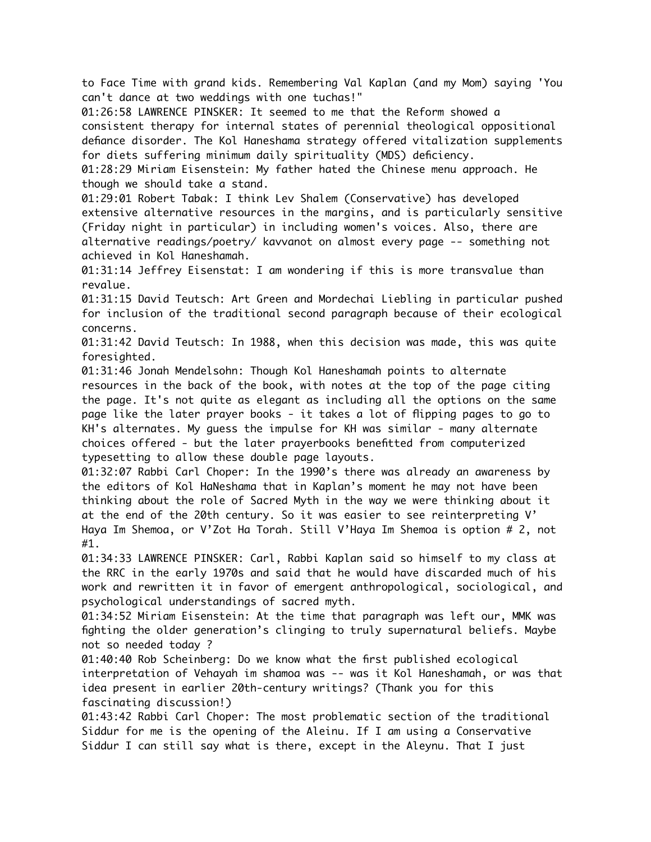to Face Time with grand kids. Remembering Val Kaplan (and my Mom) saying 'You can't dance at two weddings with one tuchas!"

01:26:58 LAWRENCE PINSKER: It seemed to me that the Reform showed a consistent therapy for internal states of perennial theological oppositional defiance disorder. The Kol Haneshama strategy offered vitalization supplements for diets suffering minimum daily spirituality (MDS) deficiency.

01:28:29 Miriam Eisenstein: My father hated the Chinese menu approach. He though we should take a stand.

01:29:01 Robert Tabak: I think Lev Shalem (Conservative) has developed extensive alternative resources in the margins, and is particularly sensitive (Friday night in particular) in including women's voices. Also, there are alternative readings/poetry/ kavvanot on almost every page -- something not achieved in Kol Haneshamah.

01:31:14 Jeffrey Eisenstat: I am wondering if this is more transvalue than revalue.

01:31:15 David Teutsch: Art Green and Mordechai Liebling in particular pushed for inclusion of the traditional second paragraph because of their ecological concerns.

01:31:42 David Teutsch: In 1988, when this decision was made, this was quite foresighted.

01:31:46 Jonah Mendelsohn: Though Kol Haneshamah points to alternate resources in the back of the book, with notes at the top of the page citing the page. It's not quite as elegant as including all the options on the same page like the later prayer books - it takes a lot of flipping pages to go to KH's alternates. My guess the impulse for KH was similar - many alternate choices offered - but the later prayerbooks benefitted from computerized typesetting to allow these double page layouts.

01:32:07 Rabbi Carl Choper: In the 1990's there was already an awareness by the editors of Kol HaNeshama that in Kaplan's moment he may not have been thinking about the role of Sacred Myth in the way we were thinking about it at the end of the 20th century. So it was easier to see reinterpreting V' Haya Im Shemoa, or V'Zot Ha Torah. Still V'Haya Im Shemoa is option # 2, not #1.

01:34:33 LAWRENCE PINSKER: Carl, Rabbi Kaplan said so himself to my class at the RRC in the early 1970s and said that he would have discarded much of his work and rewritten it in favor of emergent anthropological, sociological, and psychological understandings of sacred myth.

01:34:52 Miriam Eisenstein: At the time that paragraph was left our, MMK was fighting the older generation's clinging to truly supernatural beliefs. Maybe not so needed today ?

01:40:40 Rob Scheinberg: Do we know what the first published ecological interpretation of Vehayah im shamoa was -- was it Kol Haneshamah, or was that idea present in earlier 20th-century writings? (Thank you for this fascinating discussion!)

01:43:42 Rabbi Carl Choper: The most problematic section of the traditional Siddur for me is the opening of the Aleinu. If I am using a Conservative Siddur I can still say what is there, except in the Aleynu. That I just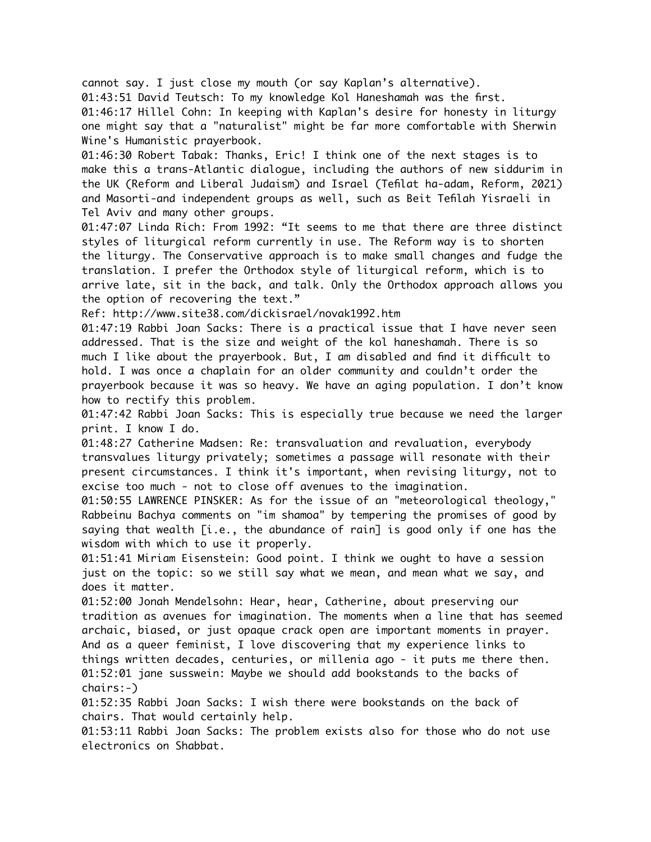cannot say. I just close my mouth (or say Kaplan's alternative).

01:43:51 David Teutsch: To my knowledge Kol Haneshamah was the first.

01:46:17 Hillel Cohn: In keeping with Kaplan's desire for honesty in liturgy one might say that a "naturalist" might be far more comfortable with Sherwin Wine's Humanistic prayerbook.

01:46:30 Robert Tabak: Thanks, Eric! I think one of the next stages is to make this a trans-Atlantic dialogue, including the authors of new siddurim in the UK (Reform and Liberal Judaism) and Israel (Tefilat ha-adam, Reform, 2021) and Masorti-and independent groups as well, such as Beit Tefilah Yisraeli in Tel Aviv and many other groups.

01:47:07 Linda Rich: From 1992: "It seems to me that there are three distinct styles of liturgical reform currently in use. The Reform way is to shorten the liturgy. The Conservative approach is to make small changes and fudge the translation. I prefer the Orthodox style of liturgical reform, which is to arrive late, sit in the back, and talk. Only the Orthodox approach allows you the option of recovering the text."

Ref: http://www.site38.com/dickisrael/novak1992.htm

01:47:19 Rabbi Joan Sacks: There is a practical issue that I have never seen addressed. That is the size and weight of the kol haneshamah. There is so much I like about the prayerbook. But, I am disabled and find it difficult to hold. I was once a chaplain for an older community and couldn't order the prayerbook because it was so heavy. We have an aging population. I don't know how to rectify this problem.

01:47:42 Rabbi Joan Sacks: This is especially true because we need the larger print. I know I do.

01:48:27 Catherine Madsen: Re: transvaluation and revaluation, everybody transvalues liturgy privately; sometimes a passage will resonate with their present circumstances. I think it's important, when revising liturgy, not to excise too much - not to close off avenues to the imagination.

01:50:55 LAWRENCE PINSKER: As for the issue of an "meteorological theology," Rabbeinu Bachya comments on "im shamoa" by tempering the promises of good by saying that wealth [i.e., the abundance of rain] is good only if one has the wisdom with which to use it properly.

01:51:41 Miriam Eisenstein: Good point. I think we ought to have a session just on the topic: so we still say what we mean, and mean what we say, and does it matter.

01:52:00 Jonah Mendelsohn: Hear, hear, Catherine, about preserving our tradition as avenues for imagination. The moments when a line that has seemed archaic, biased, or just opaque crack open are important moments in prayer. And as a queer feminist, I love discovering that my experience links to things written decades, centuries, or millenia ago - it puts me there then. 01:52:01 jane susswein: Maybe we should add bookstands to the backs of chairs:-)

01:52:35 Rabbi Joan Sacks: I wish there were bookstands on the back of chairs. That would certainly help.

01:53:11 Rabbi Joan Sacks: The problem exists also for those who do not use electronics on Shabbat.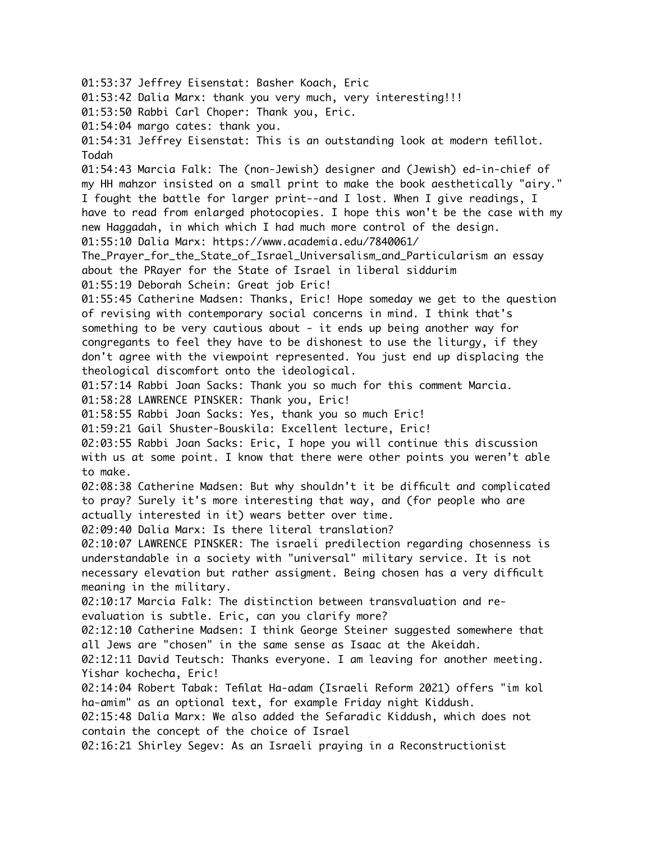01:53:37 Jeffrey Eisenstat: Basher Koach, Eric 01:53:42 Dalia Marx: thank you very much, very interesting!!! 01:53:50 Rabbi Carl Choper: Thank you, Eric. 01:54:04 margo cates: thank you. 01:54:31 Jeffrey Eisenstat: This is an outstanding look at modern tefillot. Todah 01:54:43 Marcia Falk: The (non-Jewish) designer and (Jewish) ed-in-chief of my HH mahzor insisted on a small print to make the book aesthetically "airy." I fought the battle for larger print--and I lost. When I give readings, I have to read from enlarged photocopies. I hope this won't be the case with my new Haggadah, in which which I had much more control of the design. 01:55:10 Dalia Marx: https://www.academia.edu/7840061/ The\_Prayer\_for\_the\_State\_of\_Israel\_Universalism\_and\_Particularism an essay about the PRayer for the State of Israel in liberal siddurim 01:55:19 Deborah Schein: Great job Eric! 01:55:45 Catherine Madsen: Thanks, Eric! Hope someday we get to the question of revising with contemporary social concerns in mind. I think that's something to be very cautious about - it ends up being another way for congregants to feel they have to be dishonest to use the liturgy, if they don't agree with the viewpoint represented. You just end up displacing the theological discomfort onto the ideological. 01:57:14 Rabbi Joan Sacks: Thank you so much for this comment Marcia. 01:58:28 LAWRENCE PINSKER: Thank you, Eric! 01:58:55 Rabbi Joan Sacks: Yes, thank you so much Eric! 01:59:21 Gail Shuster-Bouskila: Excellent lecture, Eric! 02:03:55 Rabbi Joan Sacks: Eric, I hope you will continue this discussion with us at some point. I know that there were other points you weren't able to make. 02:08:38 Catherine Madsen: But why shouldn't it be difficult and complicated to pray? Surely it's more interesting that way, and (for people who are actually interested in it) wears better over time. 02:09:40 Dalia Marx: Is there literal translation? 02:10:07 LAWRENCE PINSKER: The israeli predilection regarding chosenness is understandable in a society with "universal" military service. It is not necessary elevation but rather assigment. Being chosen has a very difficult meaning in the military. 02:10:17 Marcia Falk: The distinction between transvaluation and reevaluation is subtle. Eric, can you clarify more? 02:12:10 Catherine Madsen: I think George Steiner suggested somewhere that all Jews are "chosen" in the same sense as Isaac at the Akeidah. 02:12:11 David Teutsch: Thanks everyone. I am leaving for another meeting. Yishar kochecha, Eric! 02:14:04 Robert Tabak: Tefilat Ha-adam (Israeli Reform 2021) offers "im kol ha-amim" as an optional text, for example Friday night Kiddush. 02:15:48 Dalia Marx: We also added the Sefaradic Kiddush, which does not contain the concept of the choice of Israel 02:16:21 Shirley Segev: As an Israeli praying in a Reconstructionist